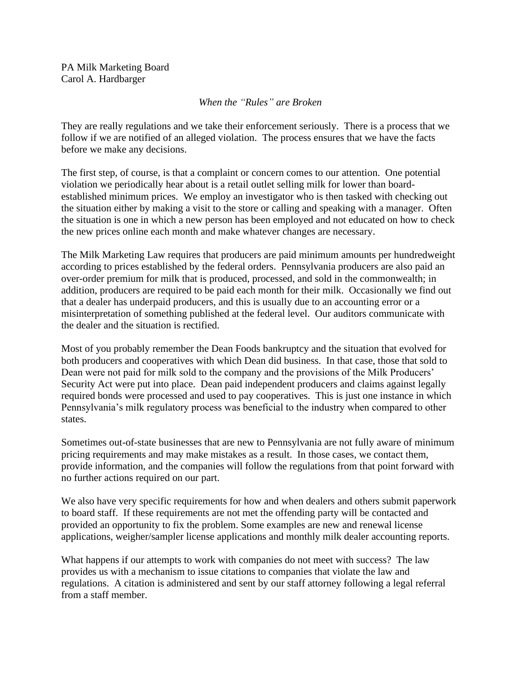PA Milk Marketing Board Carol A. Hardbarger

*When the "Rules" are Broken*

They are really regulations and we take their enforcement seriously. There is a process that we follow if we are notified of an alleged violation. The process ensures that we have the facts before we make any decisions.

The first step, of course, is that a complaint or concern comes to our attention. One potential violation we periodically hear about is a retail outlet selling milk for lower than boardestablished minimum prices. We employ an investigator who is then tasked with checking out the situation either by making a visit to the store or calling and speaking with a manager. Often the situation is one in which a new person has been employed and not educated on how to check the new prices online each month and make whatever changes are necessary.

The Milk Marketing Law requires that producers are paid minimum amounts per hundredweight according to prices established by the federal orders. Pennsylvania producers are also paid an over-order premium for milk that is produced, processed, and sold in the commonwealth; in addition, producers are required to be paid each month for their milk. Occasionally we find out that a dealer has underpaid producers, and this is usually due to an accounting error or a misinterpretation of something published at the federal level. Our auditors communicate with the dealer and the situation is rectified.

Most of you probably remember the Dean Foods bankruptcy and the situation that evolved for both producers and cooperatives with which Dean did business. In that case, those that sold to Dean were not paid for milk sold to the company and the provisions of the Milk Producers' Security Act were put into place. Dean paid independent producers and claims against legally required bonds were processed and used to pay cooperatives. This is just one instance in which Pennsylvania's milk regulatory process was beneficial to the industry when compared to other states.

Sometimes out-of-state businesses that are new to Pennsylvania are not fully aware of minimum pricing requirements and may make mistakes as a result. In those cases, we contact them, provide information, and the companies will follow the regulations from that point forward with no further actions required on our part.

We also have very specific requirements for how and when dealers and others submit paperwork to board staff. If these requirements are not met the offending party will be contacted and provided an opportunity to fix the problem. Some examples are new and renewal license applications, weigher/sampler license applications and monthly milk dealer accounting reports.

What happens if our attempts to work with companies do not meet with success? The law provides us with a mechanism to issue citations to companies that violate the law and regulations. A citation is administered and sent by our staff attorney following a legal referral from a staff member.